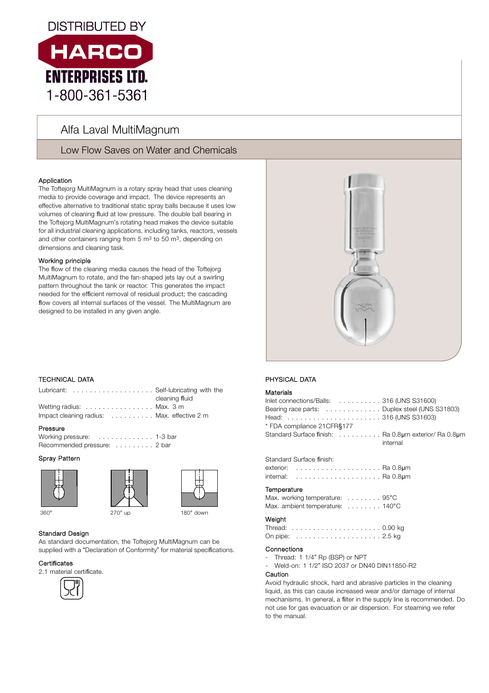

# Alfa Laval MultiMagnum

Low Flow Saves on Water and Chemicals

# Application

The Toftejorg MultiMagnum is a rotary spray head that uses cleaning media to provide coverage and impact. The device represents an effective alternative to traditional static spray balls because it uses low volumes of cleaning fluid at low pressure. The double ball bearing in the Toftejorg MultiMagnum's rotating head makes the device suitable for all industrial cleaning applications, including tanks, reactors, vessels and other containers ranging from 5  $\mathrm{m}^3$  to 50  $\mathrm{m}^3$ , depending on dimensions and cleaning task.

### Working principle

The flow of the cleaning media causes the head of the Toftejorg MultiMagnum to rotate, and the fan-shaped jets lay out a swirling pattern throughout the tank or reactor. This generates the impact needed for the efficient removal of residual product; the cascading flow covers all internal surfaces of the vessel. The MultiMagnum are designed to be installed in any given angle.



# . TECHNICAL DATA

| Lubricant:  Self-lubricating with the      |                |
|--------------------------------------------|----------------|
|                                            | cleaning fluid |
| Wetting radius:  Max. 3 m                  |                |
| Impact cleaning radius: Max. effective 2 m |                |

#### Pressure

Working pressure: . . . . . . . . . . . . . 1-3 bar Recommended pressure: . . . . . . . . . 2 bar

# Spray Pattern







# Standard Design

As standard documentation, the Toftejorg MultiMagnum can be supplied with a "Declaration of Conformity" for material specifications.

### Certi**fi**cates

2.1 material certificate.



# 360° 270° up 180° down



# PHYSICAL DATA

### **Materials**

| Inlet connections/Balls: 316 (UNS S31600)<br>Bearing race parts: Duplex steel (UNS S31803)<br>* FDA compliance 21 CFR§177                                                                                                                                                                                   |          |
|-------------------------------------------------------------------------------------------------------------------------------------------------------------------------------------------------------------------------------------------------------------------------------------------------------------|----------|
| Standard Surface finish: Ra 0.8um exterior/ Ra 0.8um                                                                                                                                                                                                                                                        | internal |
| Standard Surface finish:                                                                                                                                                                                                                                                                                    |          |
| Temperature<br>Max. working temperature: 95°C<br>Max. ambient temperature: 140°C                                                                                                                                                                                                                            |          |
| Weight                                                                                                                                                                                                                                                                                                      |          |
| Connections<br>- Thread: 1 1/4" Rp (BSP) or NPT<br>- Weld-on: 1 1/2" ISO 2037 or DN40 DIN11850-R2<br>Caution                                                                                                                                                                                                |          |
| Avoid hydraulic shock, hard and abrasive particles in the cleaning<br>liquid, as this can cause increased wear and/or damage of internal<br>mechanisms. In general, a filter in the supply line is recommended. Do<br>not use for gas evacuation or air dispersion. For steaming we refer<br>to the manual. |          |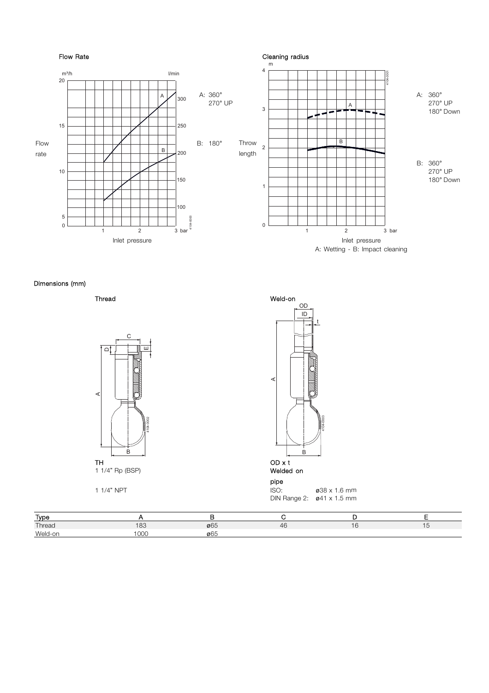

Dimensions (mm)





Thread Weld-on OD 4104-0003 A t B ID

DIN Range 2: ø41 x 1.5 mm

| <b>Type</b> |     |                  |    |  |
|-------------|-----|------------------|----|--|
| Thread      | 183 | $\varnothing$ 65 | 46 |  |
| Weld-on     | 000 | Ø65              |    |  |

pipe<br>ISO: 1 1/4" NPT 838 x 1.6 mm